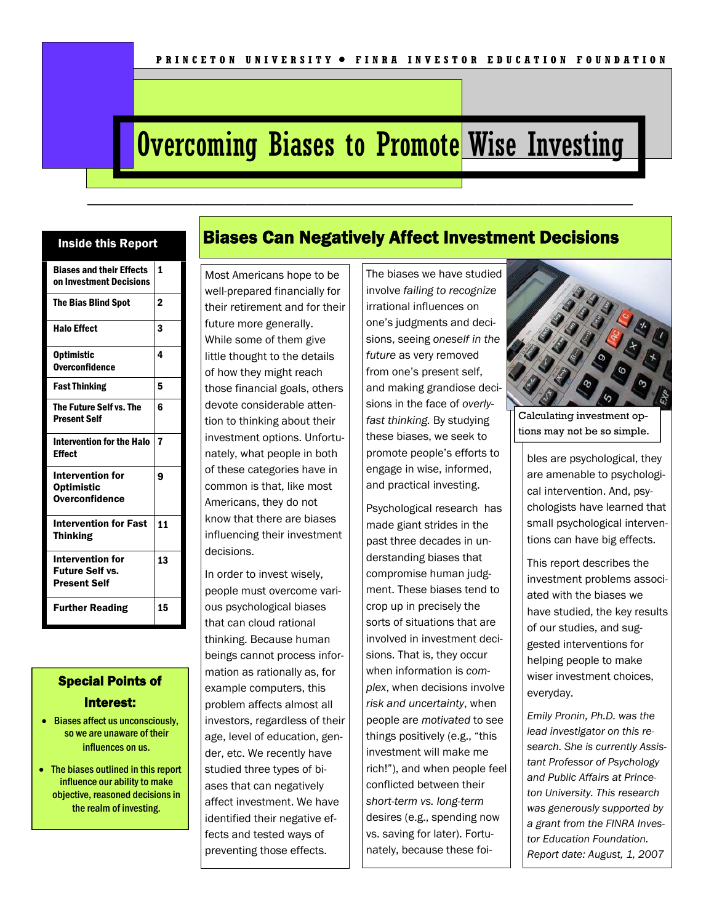# **Overcoming Biases to Promote Wise Investing**

————————————————————————————————————————————————————

#### Inside this Report

| <b>Biases and their Effects</b><br>on Investment Decisions               | 1  |
|--------------------------------------------------------------------------|----|
| <b>The Bias Blind Spot</b>                                               | 2  |
| <b>Halo Effect</b>                                                       | 3  |
| <b>Optimistic</b><br><b>Overconfidence</b>                               | 4  |
| <b>Fast Thinking</b>                                                     | 5  |
| The Future Self vs. The<br><b>Present Self</b>                           | հ  |
| <b>Intervention for the Halo</b><br><b>Effect</b>                        | 7  |
| <b>Intervention for</b><br><b>Optimistic</b><br><b>Overconfidence</b>    | g  |
| <b>Intervention for Fast</b><br><b>Thinking</b>                          | 11 |
| <b>Intervention for</b><br><b>Future Self vs.</b><br><b>Present Self</b> | 13 |
| <b>Further Reading</b>                                                   | 15 |

## Special Points of Interest:

- Biases affect us unconsciously, so we are unaware of their influences on us.
- The biases outlined in this report influence our ability to make objective, reasoned decisions in the realm of investing.

## Biases Can Negatively Affect Investment Decisions

Most Americans hope to be well-prepared financially for their retirement and for their future more generally. While some of them give little thought to the details of how they might reach those financial goals, others devote considerable attention to thinking about their investment options. Unfortunately, what people in both of these categories have in common is that, like most Americans, they do not know that there are biases influencing their investment decisions.

In order to invest wisely, people must overcome various psychological biases that can cloud rational thinking. Because human beings cannot process information as rationally as, for example computers, this problem affects almost all investors, regardless of their age, level of education, gender, etc. We recently have studied three types of biases that can negatively affect investment. We have identified their negative effects and tested ways of preventing those effects.

The biases we have studied involve *failing to recognize*  irrational influences on one's judgments and decisions, seeing *oneself in the future* as very removed from one's present self, and making grandiose decisions in the face of *overlyfast thinking.* By studying these biases, we seek to promote people's efforts to engage in wise, informed, and practical investing.

Psychological research has made giant strides in the past three decades in understanding biases that compromise human judgment. These biases tend to crop up in precisely the sorts of situations that are involved in investment decisions. That is, they occur when information is *complex*, when decisions involve *risk and uncertainty*, when people are *motivated* to see things positively (e.g., "this investment will make me rich!"), and when people feel conflicted between their *short-term vs. long-term*  desires (e.g., spending now vs. saving for later). Fortunately, because these foi-



Calculating investment options may not be so simple.

bles are psychological, they are amenable to psychological intervention. And, psychologists have learned that small psychological interventions can have big effects.

This report describes the investment problems associated with the biases we have studied, the key results of our studies, and suggested interventions for helping people to make wiser investment choices, everyday.

*Emily Pronin, Ph.D. was the lead investigator on this research. She is currently Assistant Professor of Psychology and Public Affairs at Princeton University. This research was generously supported by a grant from the FINRA Investor Education Foundation. Report date: August, 1, 2007*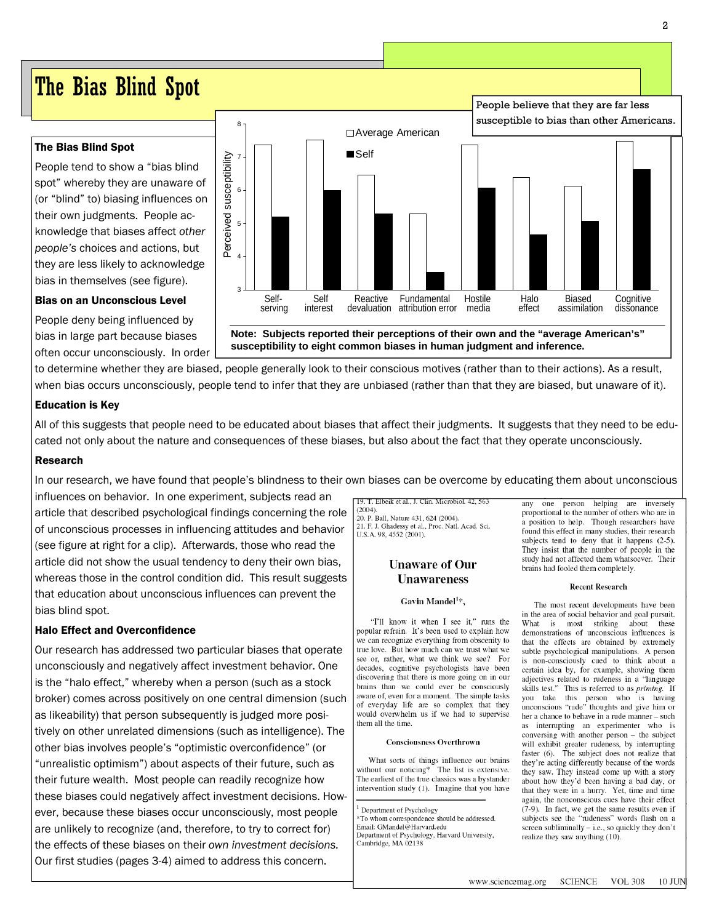# The Bias Blind Spot

#### The Bias Blind Spot

People tend to show a "bias blind spot" whereby they are unaware of (or "blind" to) biasing influences on their own judgments. People acknowledge that biases affect *other people's* choices and actions, but they are less likely to acknowledge bias in themselves (see figure).

#### Bias on an Unconscious Level

People deny being influenced by bias in large part because biases often occur unconsciously. In order



**susceptibility to eight common biases in human judgment and inference.** 

to determine whether they are biased, people generally look to their conscious motives (rather than to their actions). As a result, when bias occurs unconsciously, people tend to infer that they are unbiased (rather than that they are biased, but unaware of it).

#### Education is Key

All of this suggests that people need to be educated about biases that affect their judgments. It suggests that they need to be educated not only about the nature and consequences of these biases, but also about the fact that they operate unconsciously.

#### Research

In our research, we have found that people's blindness to their own biases can be overcome by educating them about unconscious influences on behavior. In one experiment, subjects read an

article that described psychological findings concerning the role of unconscious processes in influencing attitudes and behavior (see figure at right for a clip). Afterwards, those who read the article did not show the usual tendency to deny their own bias, whereas those in the control condition did. This result suggests that education about unconscious influences can prevent the bias blind spot.

#### Halo Effect and Overconfidence

Our research has addressed two particular biases that operate unconsciously and negatively affect investment behavior. One is the "halo effect," whereby when a person (such as a stock broker) comes across positively on one central dimension (such as likeability) that person subsequently is judged more positively on other unrelated dimensions (such as intelligence). The other bias involves people's "optimistic overconfidence" (or "unrealistic optimism") about aspects of their future, such as their future wealth. Most people can readily recognize how these biases could negatively affect investment decisions. However, because these biases occur unconsciously, most people are unlikely to recognize (and, therefore, to try to correct for) the effects of these biases on their *own investment decisions.* Our first studies (pages 3-4) aimed to address this concern.

Elbeik et al., J. Clin. Microbiol. 42, 563  $(2004)$ 

20. P. Ball, Nature 431, 624 (2004). 21. F. J. Ghadessy et al., Proc. Natl. Acad. Sci. U.S.A. 98, 4552 (2001).

#### **Unaware of Our Unawareness**

#### Gavin Mandel<sup>1</sup>\*.

"I'll know it when I see it," runs the popular refrain. It's been used to explain how we can recognize everything from obscenity to true love. But how much can we trust what we see or, rather, what we think we see? For decades, cognitive psychologists have been discovering that there is more going on in our brains than we could ever be consciously aware of, even for a moment. The simple tasks of everyday life are so complex that they would overwhelm us if we had to supervise them all the time.

#### **Consciousness Overthrown**

What sorts of things influence our brains without our noticing? The list is extensive. The earliest of the true classics was a bystander intervention study (1). Imagine that you have

Department of Psychology \*To whom correspondence should be addressed. Email: GMandel@Harvard.edu

Department of Psychology, Harvard University, Cambridge, MA 02138

any one person helping are inversely proportional to the number of others who are in a position to help. Though researchers have found this effect in many studies, their research subjects tend to deny that it happens (2-5). They insist that the number of people in the study had not affected them whatsoever. Their brains had fooled them completely.

#### **Recent Research**

The most recent developments have been in the area of social behavior and goal pursuit. What is most striking about these demonstrations of unconscious influences is that the effects are obtained by extremely subtle psychological manipulations. A person is non-consciously cued to think about a certain idea by, for example, showing them adjectives related to rudeness in a "language skills test." This is referred to as priming. If you take this person who is having<br>unconscious "rude" thoughts and give him or her a chance to behave in a rude manner - such as interrupting an experimenter who is conversing with another person - the subject will exhibit greater rudeness, by interrupting faster (6). The subject does not realize that they're acting differently because of the words they saw. They instead come up with a story about how they'd been having a bad day, or that they were in a hurry. Yet, time and time again, the nonconscious cues have their effect (7-9). In fact, we get the same results even if subjects see the "rudeness" words flash on a screen subliminally - i.e., so quickly they don't realize they saw anything (10).

People believe that they are far less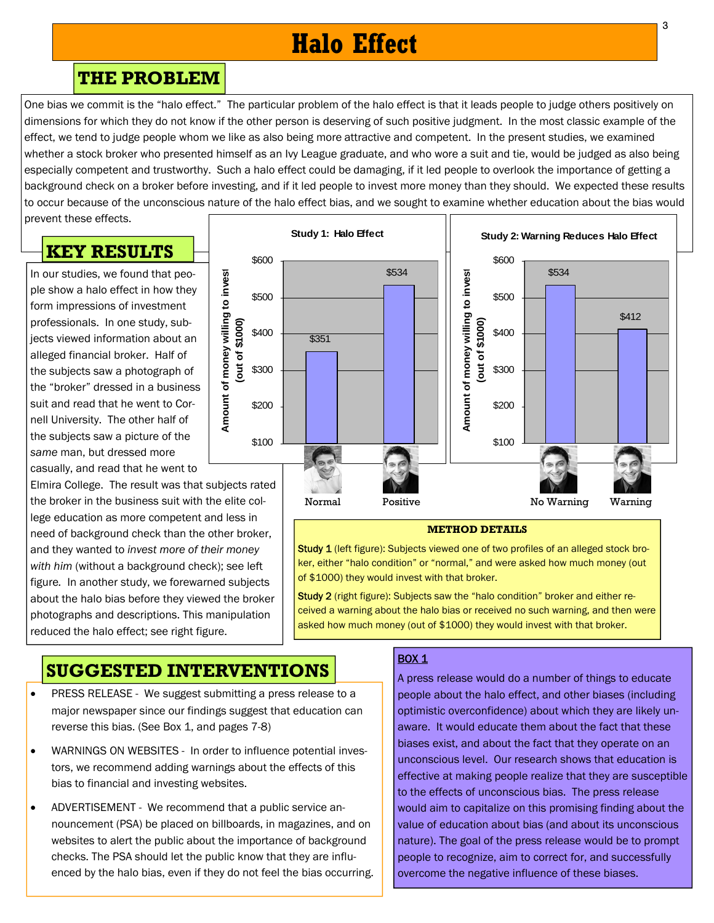# **Halo Effect**

## **THE PROBLEM**

One bias we commit is the "halo effect." The particular problem of the halo effect is that it leads people to judge others positively on dimensions for which they do not know if the other person is deserving of such positive judgment. In the most classic example of the effect, we tend to judge people whom we like as also being more attractive and competent. In the present studies, we examined whether a stock broker who presented himself as an Ivy League graduate, and who wore a suit and tie, would be judged as also being especially competent and trustworthy. Such a halo effect could be damaging, if it led people to overlook the importance of getting a background check on a broker before investing, and if it led people to invest more money than they should. We expected these results to occur because of the unconscious nature of the halo effect bias, and we sought to examine whether education about the bias would

prevent these effects.

## **KEY RESULTS**

In our studies, we found that people show a halo effect in how they form impressions of investment professionals. In one study, subjects viewed information about an alleged financial broker. Half of the subjects saw a photograph of the "broker" dressed in a business suit and read that he went to Cornell University. The other half of the subjects saw a picture of the *same* man, but dressed more casually, and read that he went to

Elmira College. The result was that subjects rated the broker in the business suit with the elite college education as more competent and less in need of background check than the other broker, and they wanted to *invest more of their money*  with him (without a background check); see left figure*.* In another study, we forewarned subjects about the halo bias before they viewed the broker photographs and descriptions. This manipulation reduced the halo effect; see right figure.



#### **METHOD DETAILS**

Study 1 (left figure): Subjects viewed one of two profiles of an alleged stock broker, either "halo condition" or "normal," and were asked how much money (out of \$1000) they would invest with that broker.

Study 2 (right figure): Subjects saw the "halo condition" broker and either received a warning about the halo bias or received no such warning, and then were asked how much money (out of \$1000) they would invest with that broker.

# **SUGGESTED INTERVENTIONS**

- PRESS RELEASE We suggest submitting a press release to a major newspaper since our findings suggest that education can reverse this bias. (See Box 1, and pages 7-8)
- WARNINGS ON WEBSITES In order to influence potential investors, we recommend adding warnings about the effects of this bias to financial and investing websites.
- ADVERTISEMENT We recommend that a public service announcement (PSA) be placed on billboards, in magazines, and on websites to alert the public about the importance of background checks. The PSA should let the public know that they are influenced by the halo bias, even if they do not feel the bias occurring.

#### BOX 1

A press release would do a number of things to educate people about the halo effect, and other biases (including optimistic overconfidence) about which they are likely unaware. It would educate them about the fact that these biases exist, and about the fact that they operate on an unconscious level. Our research shows that education is effective at making people realize that they are susceptible to the effects of unconscious bias. The press release would aim to capitalize on this promising finding about the value of education about bias (and about its unconscious nature). The goal of the press release would be to prompt people to recognize, aim to correct for, and successfully overcome the negative influence of these biases.

3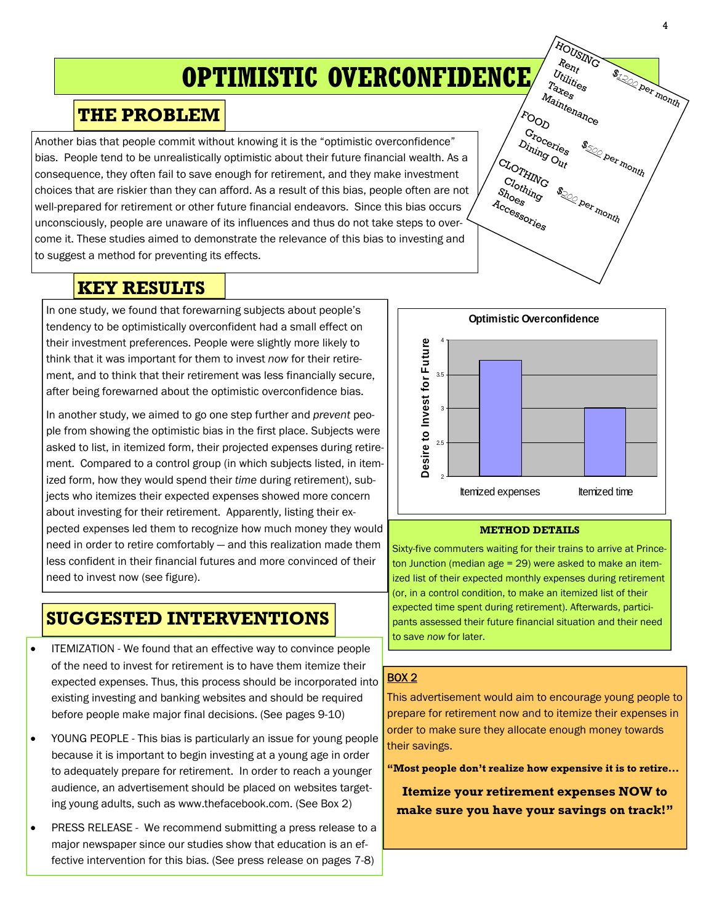# **OPTIMISTIC OVERCONFIDENCE**

## **THE PROBLEM**

Another bias that people commit without knowing it is the "optimistic overconfidence" bias. People tend to be unrealistically optimistic about their future financial wealth. As a consequence, they often fail to save enough for retirement, and they make investment choices that are riskier than they can afford. As a result of this bias, people often are not well-prepared for retirement or other future financial endeavors. Since this bias occurs unconsciously, people are unaware of its influences and thus do not take steps to overcome it. These studies aimed to demonstrate the relevance of this bias to investing and to suggest a method for preventing its effects.

## **KEY RESULTS**

In one study, we found that forewarning subjects about people's tendency to be optimistically overconfident had a small effect on their investment preferences. People were slightly more likely to think that it was important for them to invest *now* for their retirement, and to think that their retirement was less financially secure, after being forewarned about the optimistic overconfidence bias.

In another study, we aimed to go one step further and *prevent* people from showing the optimistic bias in the first place. Subjects were asked to list, in itemized form, their projected expenses during retirement. Compared to a control group (in which subjects listed, in itemized form, how they would spend their *time* during retirement), subjects who itemizes their expected expenses showed more concern about investing for their retirement. Apparently, listing their expected expenses led them to recognize how much money they would need in order to retire comfortably — and this realization made them less confident in their financial futures and more convinced of their need to invest now (see figure).

# **SUGGESTED INTERVENTIONS**

- ITEMIZATION We found that an effective way to convince people of the need to invest for retirement is to have them itemize their expected expenses. Thus, this process should be incorporated into existing investing and banking websites and should be required before people make major final decisions. (See pages 9-10)
- YOUNG PEOPLE This bias is particularly an issue for young people because it is important to begin investing at a young age in order to adequately prepare for retirement. In order to reach a younger audience, an advertisement should be placed on websites targeting young adults, such as www.thefacebook.com. (See Box 2)
- PRESS RELEASE We recommend submitting a press release to a major newspaper since our studies show that education is an effective intervention for this bias. (See press release on pages 7-8)



#### **METHOD DETAILS**

Sixty-five commuters waiting for their trains to arrive at Princeton Junction (median age = 29) were asked to make an itemized list of their expected monthly expenses during retirement (or, in a control condition, to make an itemized list of their expected time spent during retirement). Afterwards, participants assessed their future financial situation and their need to save *now* for later.

#### BOX 2

This advertisement would aim to encourage young people to prepare for retirement now and to itemize their expenses in order to make sure they allocate enough money towards their savings.

**"Most people don't realize how expensive it is to retire...** 

**Itemize your retirement expenses NOW to make sure you have your savings on track!"** 

**\$120 per month** 

**\$500 per month** 

**S. Der month** 

HOUSING

Utilities Rent

Taxes Maintenance

FOOD

CLOTHING

Clothing

Accessories Shoes

Groceries

Dining Out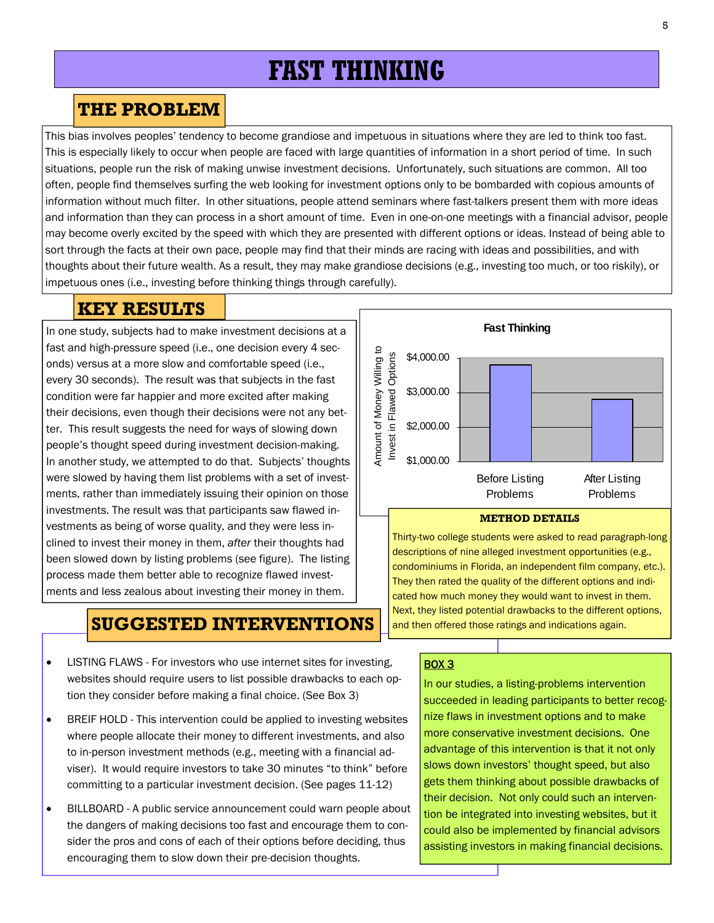# **FAST THINKING**

## **THE PROBLEM**

This bias involves peoples' tendency to become grandiose and impetuous in situations where they are led to think too fast. This is especially likely to occur when people are faced with large quantities of information in a short period of time. In such situations, people run the risk of making unwise investment decisions. Unfortunately, such situations are common. All too often, people find themselves surfing the web looking for investment options only to be bombarded with copious amounts of information without much filter. In other situations, people attend seminars where fast-talkers present them with more ideas and information than they can process in a short amount of time. Even in one-on-one meetings with a financial advisor, people may become overly excited by the speed with which they are presented with different options or ideas. Instead of being able to sort through the facts at their own pace, people may find that their minds are racing with ideas and possibilities, and with thoughts about their future wealth. As a result, they may make grandiose decisions (e.g., investing too much, or too riskily), or impetuous ones (i.e., investing before thinking things through carefully).

## **KEY RESULTS**

In one study, subjects had to make investment decisions at a fast and high-pressure speed (i.e., one decision every 4 seconds) versus at a more slow and comfortable speed (i.e., every 30 seconds). The result was that subjects in the fast condition were far happier and more excited after making their decisions, even though their decisions were not any better. This result suggests the need for ways of slowing down people's thought speed during investment decision-making. In another study, we attempted to do that. Subjects' thoughts were slowed by having them list problems with a set of investments, rather than immediately issuing their opinion on those investments. The result was that participants saw flawed investments as being of worse quality, and they were less inclined to invest their money in them, *after* their thoughts had been slowed down by listing problems (see figure). The listing process made them better able to recognize flawed investments and less zealous about investing their money in them.

## **SUGGESTED INTERVENTIONS**

- LISTING FLAWS For investors who use internet sites for investing, websites should require users to list possible drawbacks to each option they consider before making a final choice. (See Box 3)
- BREIF HOLD This intervention could be applied to investing websites where people allocate their money to different investments, and also to in-person investment methods (e.g., meeting with a financial adviser). It would require investors to take 30 minutes "to think" before committing to a particular investment decision. (See pages 11-12)
- BILLBOARD A public service announcement could warn people about the dangers of making decisions too fast and encourage them to consider the pros and cons of each of their options before deciding, thus encouraging them to slow down their pre-decision thoughts.



#### **METHOD DETAILS**

Thirty-two college students were asked to read paragraph-long descriptions of nine alleged investment opportunities (e.g., condominiums in Florida, an independent film company, etc.). They then rated the quality of the different options and indicated how much money they would want to invest in them. Next, they listed potential drawbacks to the different options, and then offered those ratings and indications again.

#### BOX 3

In our studies, a listing-problems intervention succeeded in leading participants to better recognize flaws in investment options and to make more conservative investment decisions. One advantage of this intervention is that it not only slows down investors' thought speed, but also gets them thinking about possible drawbacks of their decision. Not only could such an intervention be integrated into investing websites, but it could also be implemented by financial advisors assisting investors in making financial decisions.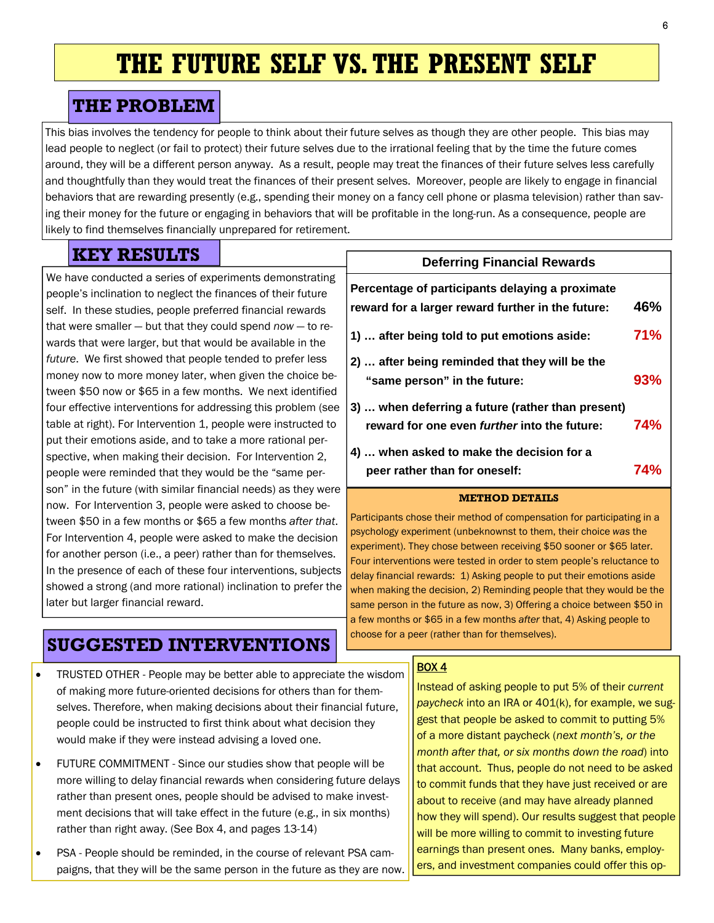# **THE FUTURE SELF VS. THE PRESENT SELF**

# **THE PROBLEM**

This bias involves the tendency for people to think about their future selves as though they are other people. This bias may lead people to neglect (or fail to protect) their future selves due to the irrational feeling that by the time the future comes around, they will be a different person anyway. As a result, people may treat the finances of their future selves less carefully and thoughtfully than they would treat the finances of their present selves. Moreover, people are likely to engage in financial behaviors that are rewarding presently (e.g., spending their money on a fancy cell phone or plasma television) rather than saving their money for the future or engaging in behaviors that will be profitable in the long-run. As a consequence, people are likely to find themselves financially unprepared for retirement.

# **KEY RESULTS**

We have conducted a series of experiments demonstrating people's inclination to neglect the finances of their future self. In these studies, people preferred financial rewards that were smaller — but that they could spend *now* — to rewards that were larger, but that would be available in the *future*. We first showed that people tended to prefer less money now to more money later, when given the choice between \$50 now or \$65 in a few months. We next identified four effective interventions for addressing this problem (see table at right). For Intervention 1, people were instructed to put their emotions aside, and to take a more rational perspective, when making their decision. For Intervention 2, people were reminded that they would be the "same person" in the future (with similar financial needs) as they were now. For Intervention 3, people were asked to choose between \$50 in a few months or \$65 a few months *after that*. For Intervention 4, people were asked to make the decision for another person (i.e., a peer) rather than for themselves. In the presence of each of these four interventions, subjects showed a strong (and more rational) inclination to prefer the later but larger financial reward.

## **Deferring Financial Rewards**

| Percentage of participants delaying a proximate     |            |
|-----------------------------------------------------|------------|
| reward for a larger reward further in the future:   | 46%        |
| 1)  after being told to put emotions aside:         | 71%        |
| 2)  after being reminded that they will be the      |            |
| "same person" in the future:                        | 93%        |
| 3)  when deferring a future (rather than present)   |            |
| reward for one even <i>further</i> into the future: | <b>74%</b> |
| 4)  when asked to make the decision for a           |            |
| peer rather than for oneself:                       | 74%        |

#### **METHOD DETAILS**

Participants chose their method of compensation for participating in a psychology experiment (unbeknownst to them, their choice *was* the experiment). They chose between receiving \$50 sooner or \$65 later. Four interventions were tested in order to stem people's reluctance to delay financial rewards: 1) Asking people to put their emotions aside when making the decision, 2) Reminding people that they would be the same person in the future as now, 3) Offering a choice between \$50 in a few months or \$65 in a few months *after* that, 4) Asking people to choose for a peer (rather than for themselves).

# **SUGGESTED INTERVENTIONS**

- TRUSTED OTHER People may be better able to appreciate the wisdom of making more future-oriented decisions for others than for themselves. Therefore, when making decisions about their financial future, people could be instructed to first think about what decision they would make if they were instead advising a loved one.
- FUTURE COMMITMENT Since our studies show that people will be more willing to delay financial rewards when considering future delays rather than present ones, people should be advised to make investment decisions that will take effect in the future (e.g., in six months) rather than right away. (See Box 4, and pages 13-14)
- PSA People should be reminded, in the course of relevant PSA campaigns, that they will be the same person in the future as they are now.

#### **BOX 4**

Instead of asking people to put 5% of their *current paycheck* into an IRA or 401(k), for example, we suggest that people be asked to commit to putting 5% of a more distant paycheck (*next month's, or the month after that, or six months down the road*) into that account. Thus, people do not need to be asked to commit funds that they have just received or are about to receive (and may have already planned how they will spend). Our results suggest that people will be more willing to commit to investing future earnings than present ones. Many banks, employers, and investment companies could offer this op-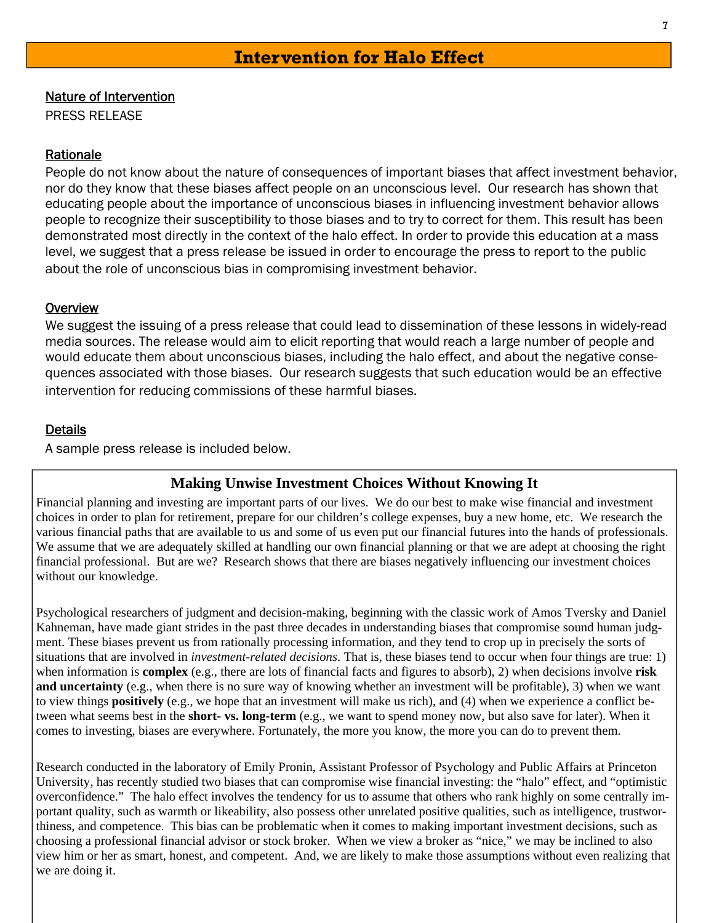#### Nature of Intervention

PRESS RELEASE

#### Rationale

People do not know about the nature of consequences of important biases that affect investment behavior, nor do they know that these biases affect people on an unconscious level. Our research has shown that educating people about the importance of unconscious biases in influencing investment behavior allows people to recognize their susceptibility to those biases and to try to correct for them. This result has been demonstrated most directly in the context of the halo effect. In order to provide this education at a mass level, we suggest that a press release be issued in order to encourage the press to report to the public about the role of unconscious bias in compromising investment behavior.

#### **Overview**

We suggest the issuing of a press release that could lead to dissemination of these lessons in widely-read media sources. The release would aim to elicit reporting that would reach a large number of people and would educate them about unconscious biases, including the halo effect, and about the negative consequences associated with those biases. Our research suggests that such education would be an effective intervention for reducing commissions of these harmful biases.

## **Details**

A sample press release is included below.

## **Making Unwise Investment Choices Without Knowing It**

Financial planning and investing are important parts of our lives. We do our best to make wise financial and investment choices in order to plan for retirement, prepare for our children's college expenses, buy a new home, etc. We research the various financial paths that are available to us and some of us even put our financial futures into the hands of professionals. We assume that we are adequately skilled at handling our own financial planning or that we are adept at choosing the right financial professional. But are we? Research shows that there are biases negatively influencing our investment choices without our knowledge.

Psychological researchers of judgment and decision-making, beginning with the classic work of Amos Tversky and Daniel Kahneman, have made giant strides in the past three decades in understanding biases that compromise sound human judgment. These biases prevent us from rationally processing information, and they tend to crop up in precisely the sorts of situations that are involved in *investment-related decisions*. That is, these biases tend to occur when four things are true: 1) when information is **complex** (e.g., there are lots of financial facts and figures to absorb), 2) when decisions involve **risk and uncertainty** (e.g., when there is no sure way of knowing whether an investment will be profitable), 3) when we want to view things **positively** (e.g., we hope that an investment will make us rich), and (4) when we experience a conflict between what seems best in the **short- vs. long-term** (e.g., we want to spend money now, but also save for later). When it comes to investing, biases are everywhere. Fortunately, the more you know, the more you can do to prevent them.

Research conducted in the laboratory of Emily Pronin, Assistant Professor of Psychology and Public Affairs at Princeton University, has recently studied two biases that can compromise wise financial investing: the "halo" effect, and "optimistic overconfidence." The halo effect involves the tendency for us to assume that others who rank highly on some centrally important quality, such as warmth or likeability, also possess other unrelated positive qualities, such as intelligence, trustworthiness, and competence. This bias can be problematic when it comes to making important investment decisions, such as choosing a professional financial advisor or stock broker. When we view a broker as "nice," we may be inclined to also view him or her as smart, honest, and competent. And, we are likely to make those assumptions without even realizing that we are doing it.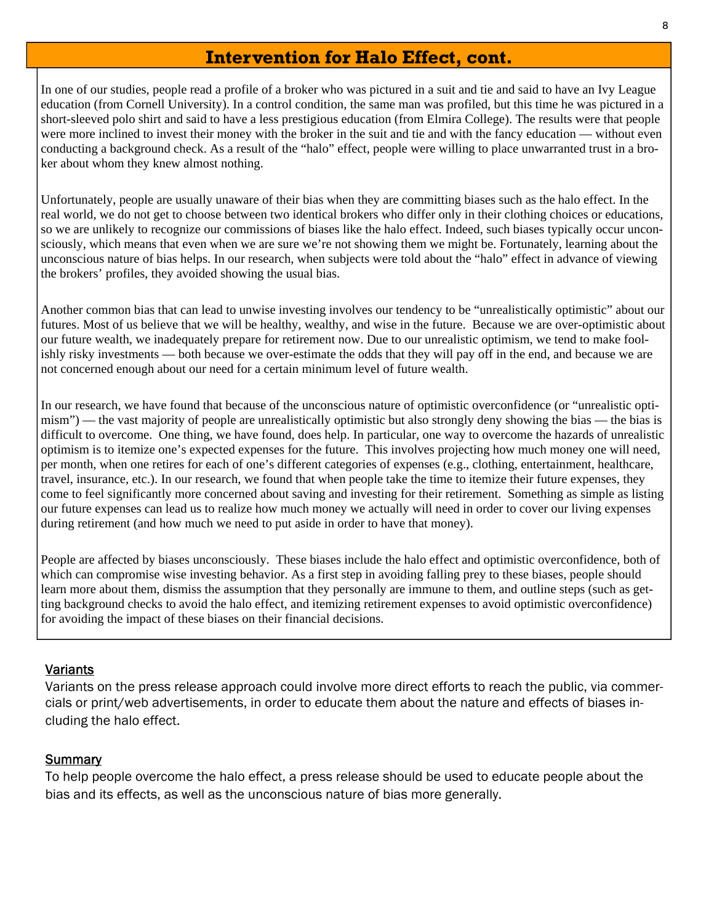## **Intervention for Halo Effect, cont.**

In one of our studies, people read a profile of a broker who was pictured in a suit and tie and said to have an Ivy League education (from Cornell University). In a control condition, the same man was profiled, but this time he was pictured in a short-sleeved polo shirt and said to have a less prestigious education (from Elmira College). The results were that people were more inclined to invest their money with the broker in the suit and tie and with the fancy education — without even conducting a background check. As a result of the "halo" effect, people were willing to place unwarranted trust in a broker about whom they knew almost nothing.

Unfortunately, people are usually unaware of their bias when they are committing biases such as the halo effect. In the real world, we do not get to choose between two identical brokers who differ only in their clothing choices or educations, so we are unlikely to recognize our commissions of biases like the halo effect. Indeed, such biases typically occur unconsciously, which means that even when we are sure we're not showing them we might be. Fortunately, learning about the unconscious nature of bias helps. In our research, when subjects were told about the "halo" effect in advance of viewing the brokers' profiles, they avoided showing the usual bias.

Another common bias that can lead to unwise investing involves our tendency to be "unrealistically optimistic" about our futures. Most of us believe that we will be healthy, wealthy, and wise in the future. Because we are over-optimistic about our future wealth, we inadequately prepare for retirement now. Due to our unrealistic optimism, we tend to make foolishly risky investments — both because we over-estimate the odds that they will pay off in the end, and because we are not concerned enough about our need for a certain minimum level of future wealth.

In our research, we have found that because of the unconscious nature of optimistic overconfidence (or "unrealistic optimism") — the vast majority of people are unrealistically optimistic but also strongly deny showing the bias — the bias is difficult to overcome. One thing, we have found, does help. In particular, one way to overcome the hazards of unrealistic optimism is to itemize one's expected expenses for the future. This involves projecting how much money one will need, per month, when one retires for each of one's different categories of expenses (e.g., clothing, entertainment, healthcare, travel, insurance, etc.). In our research, we found that when people take the time to itemize their future expenses, they come to feel significantly more concerned about saving and investing for their retirement. Something as simple as listing our future expenses can lead us to realize how much money we actually will need in order to cover our living expenses during retirement (and how much we need to put aside in order to have that money).

People are affected by biases unconsciously. These biases include the halo effect and optimistic overconfidence, both of which can compromise wise investing behavior. As a first step in avoiding falling prey to these biases, people should learn more about them, dismiss the assumption that they personally are immune to them, and outline steps (such as getting background checks to avoid the halo effect, and itemizing retirement expenses to avoid optimistic overconfidence) for avoiding the impact of these biases on their financial decisions.

## **Variants**

Variants on the press release approach could involve more direct efforts to reach the public, via commercials or print/web advertisements, in order to educate them about the nature and effects of biases including the halo effect.

#### Summary

To help people overcome the halo effect, a press release should be used to educate people about the bias and its effects, as well as the unconscious nature of bias more generally.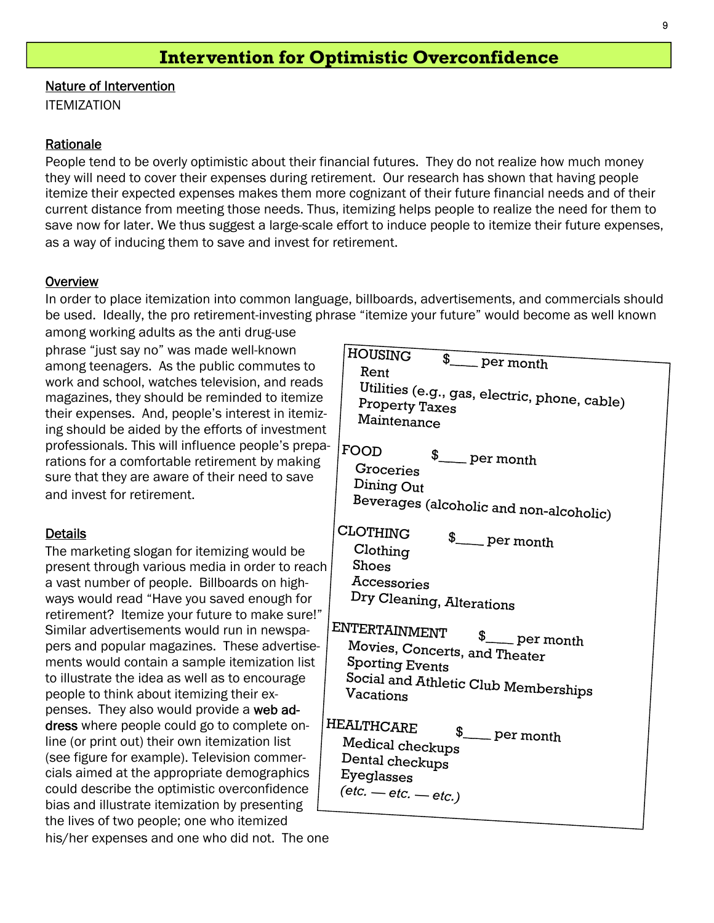## **Intervention for Optimistic Overconfidence**

Nature of Intervention

**ITEMIZATION** 

#### Rationale

People tend to be overly optimistic about their financial futures. They do not realize how much money they will need to cover their expenses during retirement. Our research has shown that having people itemize their expected expenses makes them more cognizant of their future financial needs and of their current distance from meeting those needs. Thus, itemizing helps people to realize the need for them to save now for later. We thus suggest a large-scale effort to induce people to itemize their future expenses, as a way of inducing them to save and invest for retirement.

#### **Overview**

In order to place itemization into common language, billboards, advertisements, and commercials should be used. Ideally, the pro retirement-investing phrase "itemize your future" would become as well known

among working adults as the anti drug-use phrase "just say no" was made well-known among teenagers. As the public commutes to work and school, watches television, and reads magazines, they should be reminded to itemize their expenses. And, people's interest in itemizing should be aided by the efforts of investment professionals. This will influence people's preparations for a comfortable retirement by making sure that they are aware of their need to save and invest for retirement.

#### **Details**

The marketing slogan for itemizing would be present through various media in order to reach a vast number of people. Billboards on highways would read "Have you saved enough for retirement? Itemize your future to make sure!" Similar advertisements would run in newspapers and popular magazines. These advertisements would contain a sample itemization list to illustrate the idea as well as to encourage people to think about itemizing their expenses. They also would provide a web address where people could go to complete online (or print out) their own itemization list (see figure for example). Television commercials aimed at the appropriate demographics could describe the optimistic overconfidence bias and illustrate itemization by presenting the lives of two people; one who itemized his/her expenses and one who did not. The one HE

| HOUSING                                           |  |
|---------------------------------------------------|--|
| \$__per month<br>Rent                             |  |
|                                                   |  |
| Utilities (e.g., gas, electric, phone, cable)     |  |
| Property Taxes<br>Maintenance                     |  |
|                                                   |  |
| FOOD                                              |  |
| \$_per month<br>Groceries                         |  |
| Dining Out                                        |  |
|                                                   |  |
| Beverages (alcoholic and non-alcoholic)           |  |
| CLOTHING                                          |  |
| \$_per month<br>Clothing                          |  |
| Shoes                                             |  |
| Accessories                                       |  |
| Dry Cleaning, Alterations                         |  |
|                                                   |  |
| ENTERTAINMENT                                     |  |
| \$_per month<br>Movies, Concerts, and Theater     |  |
| <b>Sporting Events</b>                            |  |
|                                                   |  |
| Social and Athletic Club Memberships<br>Vacations |  |
|                                                   |  |
| IEALTHCARE                                        |  |
| \$ <sub>___</sub> per month<br>Medical checkups   |  |
| Dental checkups                                   |  |
| Eyeglasses                                        |  |
| $(\text{etc.} - \text{etc.} - \text{etc.})$       |  |
|                                                   |  |
|                                                   |  |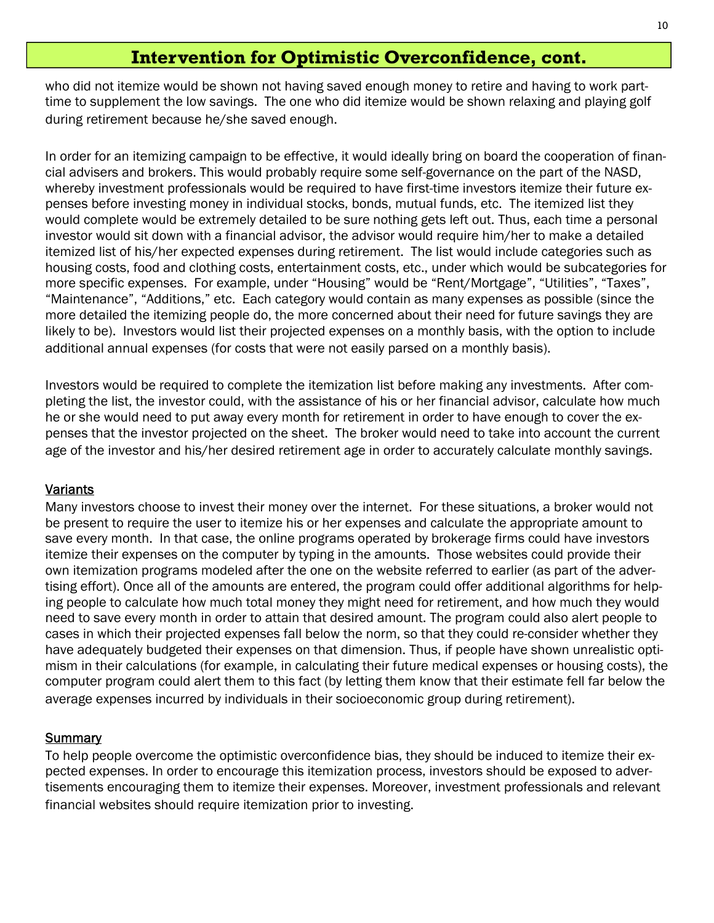## **Intervention for Optimistic Overconfidence, cont.**

who did not itemize would be shown not having saved enough money to retire and having to work parttime to supplement the low savings. The one who did itemize would be shown relaxing and playing golf during retirement because he/she saved enough.

In order for an itemizing campaign to be effective, it would ideally bring on board the cooperation of financial advisers and brokers. This would probably require some self-governance on the part of the NASD, whereby investment professionals would be required to have first-time investors itemize their future expenses before investing money in individual stocks, bonds, mutual funds, etc. The itemized list they would complete would be extremely detailed to be sure nothing gets left out. Thus, each time a personal investor would sit down with a financial advisor, the advisor would require him/her to make a detailed itemized list of his/her expected expenses during retirement. The list would include categories such as housing costs, food and clothing costs, entertainment costs, etc., under which would be subcategories for more specific expenses. For example, under "Housing" would be "Rent/Mortgage", "Utilities", "Taxes", "Maintenance", "Additions," etc. Each category would contain as many expenses as possible (since the more detailed the itemizing people do, the more concerned about their need for future savings they are likely to be). Investors would list their projected expenses on a monthly basis, with the option to include additional annual expenses (for costs that were not easily parsed on a monthly basis).

Investors would be required to complete the itemization list before making any investments. After completing the list, the investor could, with the assistance of his or her financial advisor, calculate how much he or she would need to put away every month for retirement in order to have enough to cover the expenses that the investor projected on the sheet. The broker would need to take into account the current age of the investor and his/her desired retirement age in order to accurately calculate monthly savings.

## Variants

Many investors choose to invest their money over the internet. For these situations, a broker would not be present to require the user to itemize his or her expenses and calculate the appropriate amount to save every month. In that case, the online programs operated by brokerage firms could have investors itemize their expenses on the computer by typing in the amounts. Those websites could provide their own itemization programs modeled after the one on the website referred to earlier (as part of the advertising effort). Once all of the amounts are entered, the program could offer additional algorithms for helping people to calculate how much total money they might need for retirement, and how much they would need to save every month in order to attain that desired amount. The program could also alert people to cases in which their projected expenses fall below the norm, so that they could re-consider whether they have adequately budgeted their expenses on that dimension. Thus, if people have shown unrealistic optimism in their calculations (for example, in calculating their future medical expenses or housing costs), the computer program could alert them to this fact (by letting them know that their estimate fell far below the average expenses incurred by individuals in their socioeconomic group during retirement).

## **Summary**

To help people overcome the optimistic overconfidence bias, they should be induced to itemize their expected expenses. In order to encourage this itemization process, investors should be exposed to advertisements encouraging them to itemize their expenses. Moreover, investment professionals and relevant financial websites should require itemization prior to investing.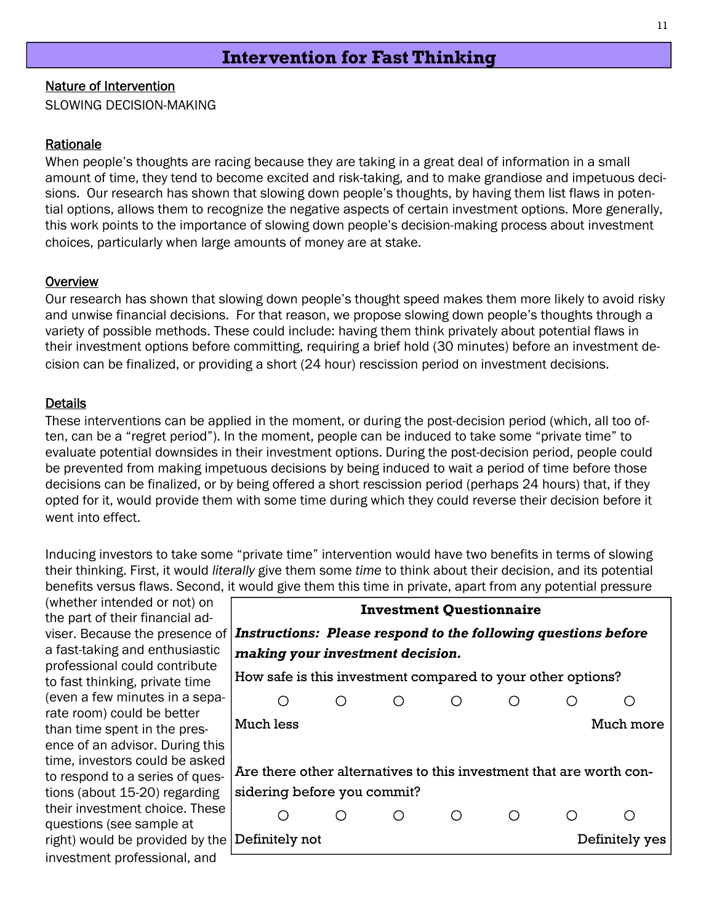## **Intervention for Fast Thinking**

### 11

#### Nature of Intervention

SLOWING DECISION-MAKING

#### Rationale

When people's thoughts are racing because they are taking in a great deal of information in a small amount of time, they tend to become excited and risk-taking, and to make grandiose and impetuous decisions. Our research has shown that slowing down people's thoughts, by having them list flaws in potential options, allows them to recognize the negative aspects of certain investment options. More generally, this work points to the importance of slowing down people's decision-making process about investment choices, particularly when large amounts of money are at stake.

#### **Overview**

Our research has shown that slowing down people's thought speed makes them more likely to avoid risky and unwise financial decisions. For that reason, we propose slowing down people's thoughts through a variety of possible methods. These could include: having them think privately about potential flaws in their investment options before committing, requiring a brief hold (30 minutes) before an investment decision can be finalized, or providing a short (24 hour) rescission period on investment decisions.

#### **Details**

These interventions can be applied in the moment, or during the post-decision period (which, all too often, can be a "regret period"). In the moment, people can be induced to take some "private time" to evaluate potential downsides in their investment options. During the post-decision period, people could be prevented from making impetuous decisions by being induced to wait a period of time before those decisions can be finalized, or by being offered a short rescission period (perhaps 24 hours) that, if they opted for it, would provide them with some time during which they could reverse their decision before it went into effect.

Inducing investors to take some "private time" intervention would have two benefits in terms of slowing their thinking. First, it would *literally* give them some *time* to think about their decision, and its potential benefits versus flaws. Second, it would give them this time in private, apart from any potential pressure

(whether intended or not) on the part of their financial adviser. Because the presence of a fast-taking and enthusiastic professional could contribute to fast thinking, private time (even a few minutes in a separate room) could be better than time spent in the presence of an advisor. During this time, investors could be asked to respond to a series of questions (about 15-20) regarding their investment choice. These questions (see sample at right) would be provided by the investment professional, and

|                                                                                                    | <b>Investment Questionnaire</b> |  |                |
|----------------------------------------------------------------------------------------------------|---------------------------------|--|----------------|
| Instructions: Please respond to the following questions before<br>making your investment decision. |                                 |  |                |
| How safe is this investment compared to your other options?                                        |                                 |  |                |
|                                                                                                    |                                 |  |                |
| Much less                                                                                          |                                 |  | Much more      |
|                                                                                                    |                                 |  |                |
| Are there other alternatives to this investment that are worth con-                                |                                 |  |                |
| sidering before you commit?                                                                        |                                 |  |                |
|                                                                                                    |                                 |  |                |
| Definitely not                                                                                     |                                 |  | Definitely yes |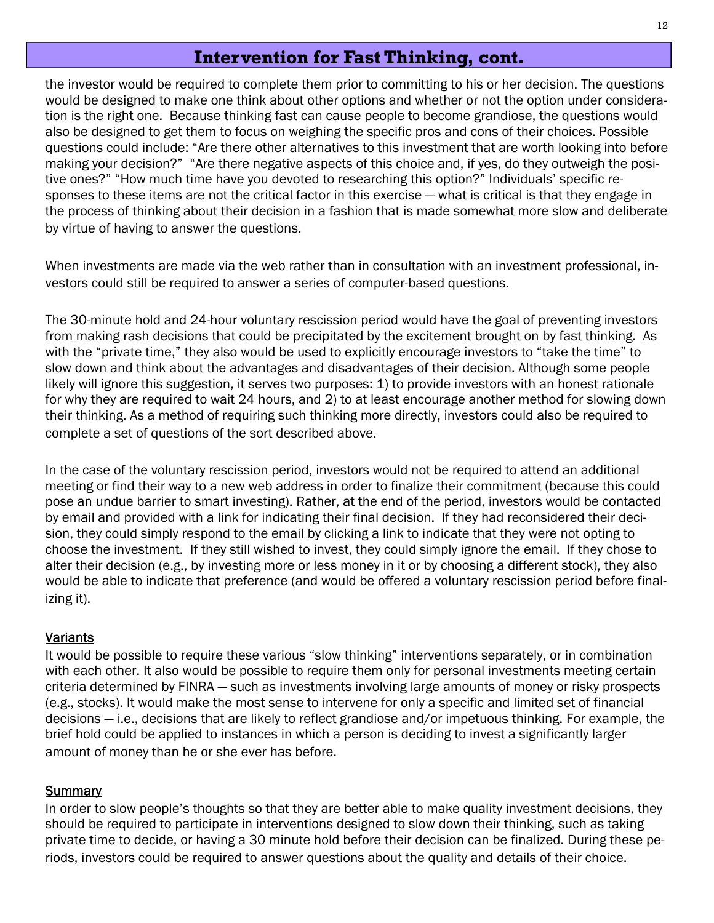## **Intervention for Fast Thinking, cont.**

the investor would be required to complete them prior to committing to his or her decision. The questions would be designed to make one think about other options and whether or not the option under consideration is the right one. Because thinking fast can cause people to become grandiose, the questions would also be designed to get them to focus on weighing the specific pros and cons of their choices. Possible questions could include: "Are there other alternatives to this investment that are worth looking into before making your decision?" "Are there negative aspects of this choice and, if yes, do they outweigh the positive ones?" "How much time have you devoted to researching this option?" Individuals' specific responses to these items are not the critical factor in this exercise — what is critical is that they engage in the process of thinking about their decision in a fashion that is made somewhat more slow and deliberate by virtue of having to answer the questions.

When investments are made via the web rather than in consultation with an investment professional, investors could still be required to answer a series of computer-based questions.

The 30-minute hold and 24-hour voluntary rescission period would have the goal of preventing investors from making rash decisions that could be precipitated by the excitement brought on by fast thinking. As with the "private time," they also would be used to explicitly encourage investors to "take the time" to slow down and think about the advantages and disadvantages of their decision. Although some people likely will ignore this suggestion, it serves two purposes: 1) to provide investors with an honest rationale for why they are required to wait 24 hours, and 2) to at least encourage another method for slowing down their thinking. As a method of requiring such thinking more directly, investors could also be required to complete a set of questions of the sort described above.

In the case of the voluntary rescission period, investors would not be required to attend an additional meeting or find their way to a new web address in order to finalize their commitment (because this could pose an undue barrier to smart investing). Rather, at the end of the period, investors would be contacted by email and provided with a link for indicating their final decision. If they had reconsidered their decision, they could simply respond to the email by clicking a link to indicate that they were not opting to choose the investment. If they still wished to invest, they could simply ignore the email. If they chose to alter their decision (e.g., by investing more or less money in it or by choosing a different stock), they also would be able to indicate that preference (and would be offered a voluntary rescission period before finalizing it).

## **Variants**

It would be possible to require these various "slow thinking" interventions separately, or in combination with each other. It also would be possible to require them only for personal investments meeting certain criteria determined by FINRA — such as investments involving large amounts of money or risky prospects (e.g., stocks). It would make the most sense to intervene for only a specific and limited set of financial decisions — i.e., decisions that are likely to reflect grandiose and/or impetuous thinking. For example, the brief hold could be applied to instances in which a person is deciding to invest a significantly larger amount of money than he or she ever has before.

## **Summary**

In order to slow people's thoughts so that they are better able to make quality investment decisions, they should be required to participate in interventions designed to slow down their thinking, such as taking private time to decide, or having a 30 minute hold before their decision can be finalized. During these periods, investors could be required to answer questions about the quality and details of their choice.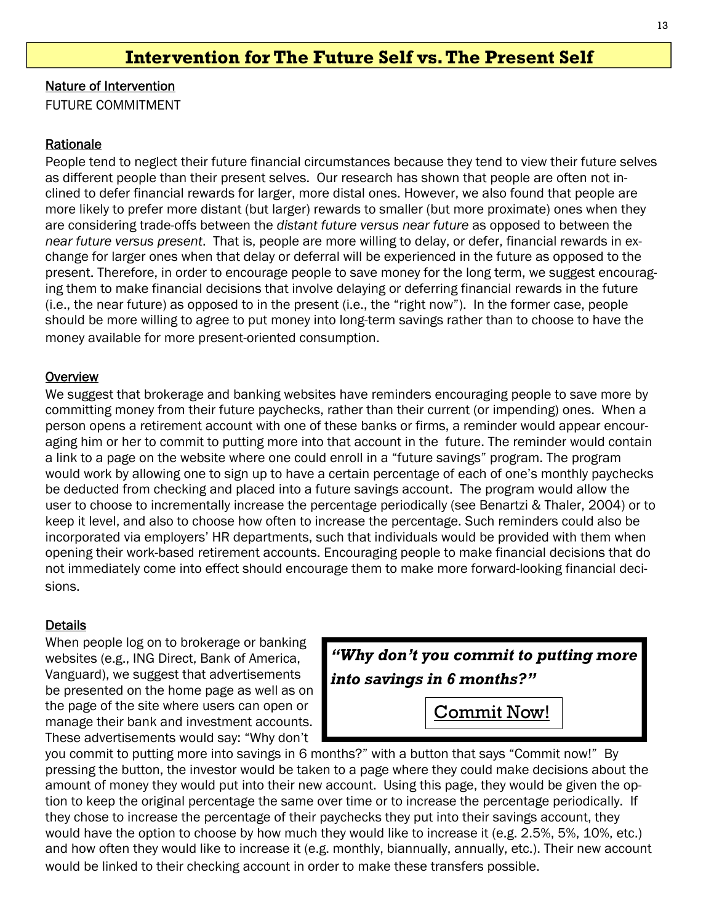## **Intervention for The Future Self vs. The Present Self**

Nature of Intervention

FUTURE COMMITMENT

#### Rationale

People tend to neglect their future financial circumstances because they tend to view their future selves as different people than their present selves. Our research has shown that people are often not inclined to defer financial rewards for larger, more distal ones. However, we also found that people are more likely to prefer more distant (but larger) rewards to smaller (but more proximate) ones when they are considering trade-offs between the *distant future versus near future* as opposed to between the *near future versus present*. That is, people are more willing to delay, or defer, financial rewards in exchange for larger ones when that delay or deferral will be experienced in the future as opposed to the present. Therefore, in order to encourage people to save money for the long term, we suggest encouraging them to make financial decisions that involve delaying or deferring financial rewards in the future (i.e., the near future) as opposed to in the present (i.e., the "right now"). In the former case, people should be more willing to agree to put money into long-term savings rather than to choose to have the money available for more present-oriented consumption.

#### **Overview**

We suggest that brokerage and banking websites have reminders encouraging people to save more by committing money from their future paychecks, rather than their current (or impending) ones. When a person opens a retirement account with one of these banks or firms, a reminder would appear encouraging him or her to commit to putting more into that account in the future. The reminder would contain a link to a page on the website where one could enroll in a "future savings" program. The program would work by allowing one to sign up to have a certain percentage of each of one's monthly paychecks be deducted from checking and placed into a future savings account. The program would allow the user to choose to incrementally increase the percentage periodically (see Benartzi & Thaler, 2004) or to keep it level, and also to choose how often to increase the percentage. Such reminders could also be incorporated via employers' HR departments, such that individuals would be provided with them when opening their work-based retirement accounts. Encouraging people to make financial decisions that do not immediately come into effect should encourage them to make more forward-looking financial decisions.

#### **Details**

When people log on to brokerage or banking websites (e.g., ING Direct, Bank of America, Vanguard), we suggest that advertisements be presented on the home page as well as on the page of the site where users can open or manage their bank and investment accounts. These advertisements would say: "Why don't

| "Why don't you commit to putting more" |  |                                                  |  |  |
|----------------------------------------|--|--------------------------------------------------|--|--|
| into savings in 6 months?"             |  |                                                  |  |  |
|                                        |  | the control of the control of the control of the |  |  |

Commit Now!

you commit to putting more into savings in 6 months?" with a button that says "Commit now!" By pressing the button, the investor would be taken to a page where they could make decisions about the amount of money they would put into their new account. Using this page, they would be given the option to keep the original percentage the same over time or to increase the percentage periodically. If they chose to increase the percentage of their paychecks they put into their savings account, they would have the option to choose by how much they would like to increase it (e.g. 2.5%, 5%, 10%, etc.) and how often they would like to increase it (e.g. monthly, biannually, annually, etc.). Their new account would be linked to their checking account in order to make these transfers possible.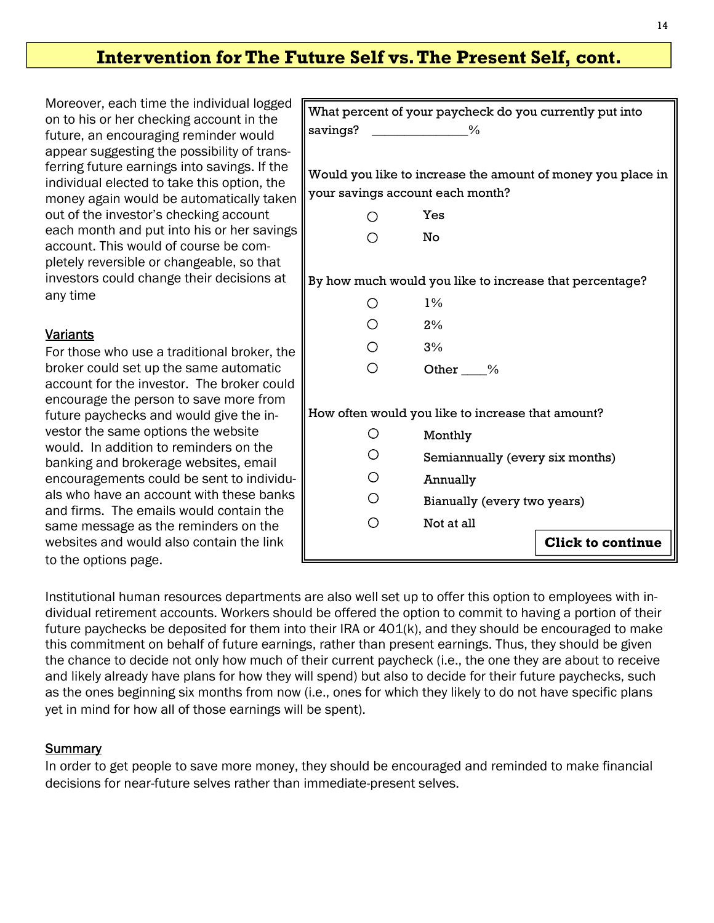## **Intervention for The Future Self vs. The Present Self, cont.**

Moreover, each time the individual logged on to his or her checking account in the future, an encouraging reminder would appear suggesting the possibility of transferring future earnings into savings. If the individual elected to take this option, the money again would be automatically taken out of the investor's checking account each month and put into his or her savings account. This would of course be completely reversible or changeable, so that investors could change their decisions at any time

## Variants

For those who use a traditional broker, the broker could set up the same automatic account for the investor. The broker could encourage the person to save more from future paychecks and would give the investor the same options the website would. In addition to reminders on the banking and brokerage websites, email encouragements could be sent to individuals who have an account with these banks and firms. The emails would contain the same message as the reminders on the websites and would also contain the link to the options page.

|                                  | What percent of your paycheck do you currently put into     |
|----------------------------------|-------------------------------------------------------------|
| savings?                         | $\sim$ $\frac{9}{6}$                                        |
|                                  |                                                             |
|                                  | Would you like to increase the amount of money you place in |
| your savings account each month? |                                                             |
|                                  | Yes                                                         |
|                                  | No                                                          |
|                                  |                                                             |
|                                  | By how much would you like to increase that percentage?     |
|                                  | $1\%$                                                       |
|                                  | 2%                                                          |
| ◯.                               | 3%                                                          |
| ∩                                | Other %                                                     |
|                                  |                                                             |
|                                  | How often would you like to increase that amount?           |
|                                  | Monthly                                                     |
|                                  | Semiannually (every six months)                             |
| О                                | Annually                                                    |
| O                                | Bianually (every two years)                                 |
|                                  | Not at all                                                  |
|                                  | <b>Click to continue</b>                                    |

Institutional human resources departments are also well set up to offer this option to employees with individual retirement accounts. Workers should be offered the option to commit to having a portion of their future paychecks be deposited for them into their IRA or 401(k), and they should be encouraged to make this commitment on behalf of future earnings, rather than present earnings. Thus, they should be given the chance to decide not only how much of their current paycheck (i.e., the one they are about to receive and likely already have plans for how they will spend) but also to decide for their future paychecks, such as the ones beginning six months from now (i.e., ones for which they likely to do not have specific plans yet in mind for how all of those earnings will be spent).

#### **Summary**

In order to get people to save more money, they should be encouraged and reminded to make financial decisions for near-future selves rather than immediate-present selves.